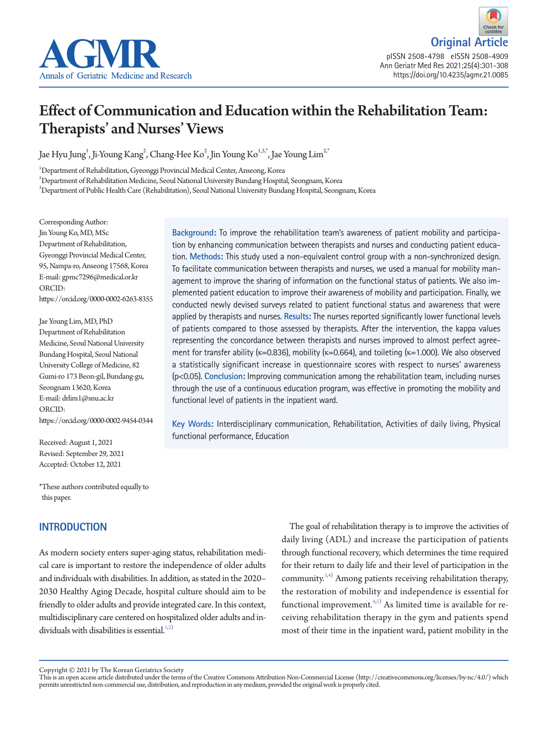



pISSN 2508-4798 eISSN 2508-4909 Ann Geriatr Med Res 2021;25(4):301-308 https://doi.org/10.4235/agmr.21.0085

# Effect of Communication and Education within the Rehabilitation Team: Therapists' and Nurses' Views

Jae Hyu Jung $^1$ , Ji-Young Kang $^2$ , Chang-Hee Ko $^2$ , Jin Young Ko $^{1,3,*}$ , Jae Young Lim $^{2,'}$ 

1 Department of Rehabilitation, Gyeonggi Provincial Medical Center, Anseong, Korea

 $^2$ Department of Rehabilitation Medicine, Seoul National University Bundang Hospital, Seongnam, Korea

 $^3$ Department of Public Health Care (Rehabilitation), Seoul National University Bundang Hospital, Seongnam, Korea

Corresponding Author: Jin Young Ko, MD, MSc Department of Rehabilitation, Gyeonggi Provincial Medical Center, 95, Nampa-ro, Anseong 17568, Korea E-mail: gpmc7296@medical.or.kr ORCID: https://orcid.org/0000-0002-6263-8355

Jae Young Lim, MD, PhD Department of Rehabilitation Medicine, Seoul National University Bundang Hospital, Seoul National University College of Medicine, 82 Gumi-ro 173 Beon-gil, Bundang-gu, Seongnam 13620, Korea E-mail: drlim1@snu.ac.kr ORCID: https://orcid.org/0000-0002-9454-0344

Received: August 1, 2021 Revised: September 29, 2021 Accepted: October 12, 2021

\*These authors contributed equally to this paper.

## **INTRODUCTION**

As modern society enters super-aging status, rehabilitation medical care is important to restore the independence of older adults and individuals with disabilities. In addition, as stated in the 2020– 2030 Healthy Aging Decade, hospital culture should aim to be friendly to older adults and provide integrated care. In this context, multidisciplinary care centered on hospitalized older adults and in-dividuals with disabilities is essential.<sup>1[,2\)](#page-6-1)</sup>

The goal of rehabilitation therapy is to improve the activities of daily living (ADL) and increase the participation of patients through functional recovery, which determines the time required for their return to daily life and their level of participation in the community.<sup>[3](#page-6-2)[,4\)](#page-6-3)</sup> Among patients receiving rehabilitation therapy, the restoration of mobility and independence is essential for functional improvement.  $4,5$  $4,5$ ) As limited time is available for receiving rehabilitation therapy in the gym and patients spend most of their time in the inpatient ward, patient mobility in the

**Background:** To improve the rehabilitation team's awareness of patient mobility and participation by enhancing communication between therapists and nurses and conducting patient education. **Methods:** This study used a non-equivalent control group with a non-synchronized design. To facilitate communication between therapists and nurses, we used a manual for mobility management to improve the sharing of information on the functional status of patients. We also implemented patient education to improve their awareness of mobility and participation. Finally, we conducted newly devised surveys related to patient functional status and awareness that were applied by therapists and nurses. **Results:** The nurses reported significantly lower functional levels of patients compared to those assessed by therapists. After the intervention, the kappa values representing the concordance between therapists and nurses improved to almost perfect agreement for transfer ability ( $\kappa$ =0.836), mobility ( $\kappa$ =0.664), and toileting ( $\kappa$ =1.000). We also observed a statistically significant increase in questionnaire scores with respect to nurses' awareness (p<0.05). **Conclusion:** Improving communication among the rehabilitation team, including nurses through the use of a continuous education program, was effective in promoting the mobility and functional level of patients in the inpatient ward.

**Key Words:** Interdisciplinary communication, Rehabilitation, Activities of daily living, Physical functional performance, Education

Copyright © 2021 by The Korean Geriatrics Society<br>This is an open access article distributed under the terms of the Creative Commons Attribution Non-Commercial License (http://creativecommons.org/licenses/by-nc/4.0/) which permits unrestricted non-commercial use, distribution, and reproduction in any medium, provided the original work is properly cited.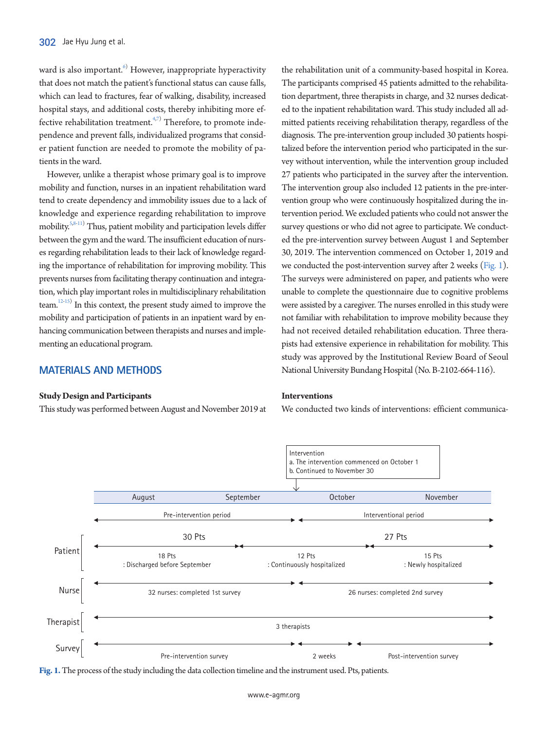ward is also important.<sup>[6](#page-7-0))</sup> However, inappropriate hyperactivity that does not match the patient's functional status can cause falls, which can lead to fractures, fear of walking, disability, increased hospital stays, and additional costs, thereby inhibiting more effective rehabilitation treatment. $4,7)$  $4,7)$  $4,7)$  Therefore, to promote independence and prevent falls, individualized programs that consider patient function are needed to promote the mobility of patients in the ward.

However, unlike a therapist whose primary goal is to improve mobility and function, nurses in an inpatient rehabilitation ward tend to create dependency and immobility issues due to a lack of knowledge and experience regarding rehabilitation to improve mobility.[5](#page-6-0),[8](#page-7-2)[-11\)](#page-7-3) Thus, patient mobility and participation levels differ between the gym and the ward. The insufficient education of nurses regarding rehabilitation leads to their lack of knowledge regarding the importance of rehabilitation for improving mobility. This prevents nurses from facilitating therapy continuation and integration, which play important roles in multidisciplinary rehabilitation team.<sup>12-[15\)](#page-7-5)</sup> In this context, the present study aimed to improve the mobility and participation of patients in an inpatient ward by enhancing communication between therapists and nurses and implementing an educational program.

## **MATERIALS AND METHODS**

#### **Study Design and Participants**

This study was performed between August and November 2019 at

the rehabilitation unit of a community-based hospital in Korea. The participants comprised 45 patients admitted to the rehabilitation department, three therapists in charge, and 32 nurses dedicated to the inpatient rehabilitation ward. This study included all admitted patients receiving rehabilitation therapy, regardless of the diagnosis. The pre-intervention group included 30 patients hospitalized before the intervention period who participated in the survey without intervention, while the intervention group included 27 patients who participated in the survey after the intervention. The intervention group also included 12 patients in the pre-intervention group who were continuously hospitalized during the intervention period. We excluded patients who could not answer the survey questions or who did not agree to participate. We conducted the pre-intervention survey between August 1 and September 30, 2019. The intervention commenced on October 1, 2019 and we conducted the post-intervention survey after 2 weeks [\(Fig. 1\)](#page-1-0). The surveys were administered on paper, and patients who were unable to complete the questionnaire due to cognitive problems were assisted by a caregiver. The nurses enrolled in this study were not familiar with rehabilitation to improve mobility because they had not received detailed rehabilitation education. Three therapists had extensive experience in rehabilitation for mobility. This study was approved by the Institutional Review Board of Seoul National University Bundang Hospital (No. B-2102-664-116).

#### **Interventions**

We conducted two kinds of interventions: efficient communica-

<span id="page-1-0"></span>

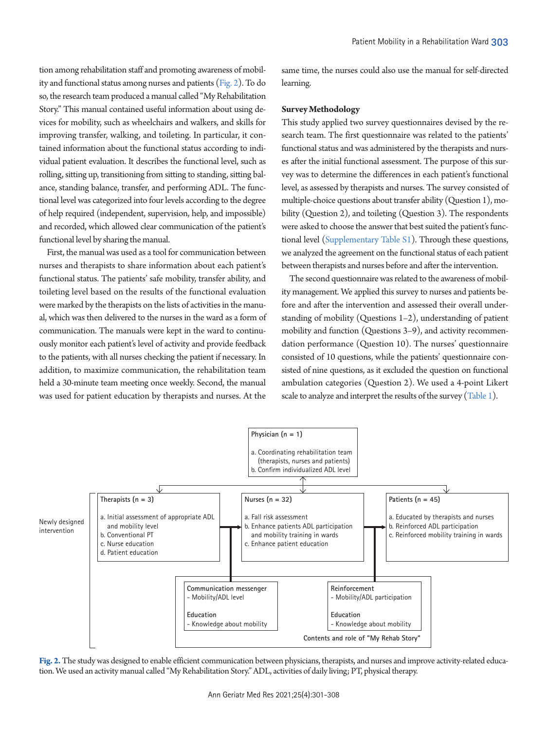tion among rehabilitation staff and promoting awareness of mobility and functional status among nurses and patients [\(Fig. 2\)](#page-2-0). To do so, the research team produced a manual called "My Rehabilitation Story." This manual contained useful information about using devices for mobility, such as wheelchairs and walkers, and skills for improving transfer, walking, and toileting. In particular, it contained information about the functional status according to individual patient evaluation. It describes the functional level, such as rolling, sitting up, transitioning from sitting to standing, sitting balance, standing balance, transfer, and performing ADL. The functional level was categorized into four levels according to the degree of help required (independent, supervision, help, and impossible) and recorded, which allowed clear communication of the patient's functional level by sharing the manual.

First, the manual was used as a tool for communication between nurses and therapists to share information about each patient's functional status. The patients' safe mobility, transfer ability, and toileting level based on the results of the functional evaluation were marked by the therapists on the lists of activities in the manual, which was then delivered to the nurses in the ward as a form of communication. The manuals were kept in the ward to continuously monitor each patient's level of activity and provide feedback to the patients, with all nurses checking the patient if necessary. In addition, to maximize communication, the rehabilitation team held a 30-minute team meeting once weekly. Second, the manual was used for patient education by therapists and nurses. At the

same time, the nurses could also use the manual for self-directed learning.

#### **Survey Methodology**

This study applied two survey questionnaires devised by the research team. The first questionnaire was related to the patients' functional status and was administered by the therapists and nurses after the initial functional assessment. The purpose of this survey was to determine the differences in each patient's functional level, as assessed by therapists and nurses. The survey consisted of multiple-choice questions about transfer ability (Question 1), mobility (Question 2), and toileting (Question 3). The respondents were asked to choose the answer that best suited the patient's functional level [\(Supplementary Table S1](#page-6-4)). Through these questions, we analyzed the agreement on the functional status of each patient between therapists and nurses before and after the intervention.

The second questionnaire was related to the awareness of mobility management. We applied this survey to nurses and patients before and after the intervention and assessed their overall understanding of mobility (Questions 1–2), understanding of patient mobility and function (Questions 3–9), and activity recommendation performance (Question 10). The nurses' questionnaire consisted of 10 questions, while the patients' questionnaire consisted of nine questions, as it excluded the question on functional ambulation categories (Question 2). We used a 4-point Likert scale to analyze and interpret the results of the survey [\(Table 1](#page-3-0)).

<span id="page-2-0"></span>

**Fig. 2.** The study was designed to enable efficient communication between physicians, therapists, and nurses and improve activity-related education. We used an activity manual called "My Rehabilitation Story." ADL, activities of daily living; PT, physical therapy.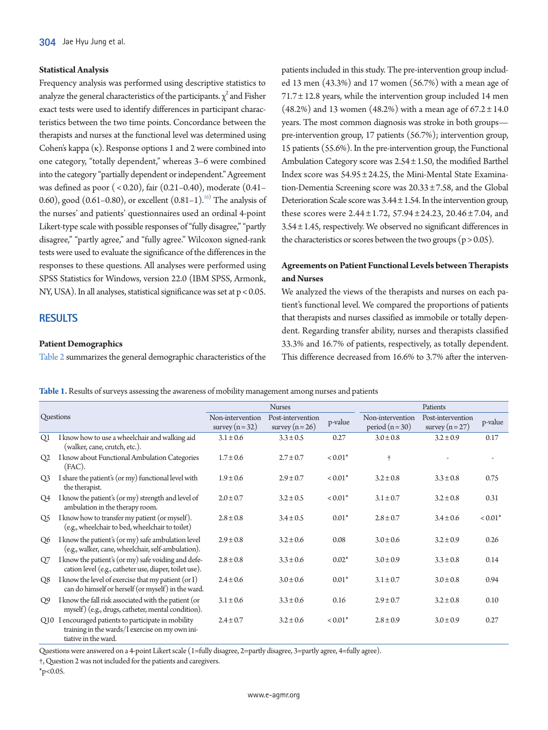#### **Statistical Analysis**

Frequency analysis was performed using descriptive statistics to analyze the general characteristics of the participants.  $\chi^2$  and Fisher exact tests were used to identify differences in participant characteristics between the two time points. Concordance between the therapists and nurses at the functional level was determined using Cohen's kappa  $(\kappa)$ . Response options 1 and 2 were combined into one category, "totally dependent," whereas 3–6 were combined into the category "partially dependent or independent." Agreement was defined as poor ( < 0.20), fair (0.21–0.40), moderate (0.41– 0.60), good  $(0.61-0.80)$ , or excellent  $(0.81-1).^{16}$  The analysis of the nurses' and patients' questionnaires used an ordinal 4-point Likert-type scale with possible responses of "fully disagree," "partly disagree," "partly agree," and "fully agree." Wilcoxon signed-rank tests were used to evaluate the significance of the differences in the responses to these questions. All analyses were performed using SPSS Statistics for Windows, version 22.0 (IBM SPSS, Armonk, NY, USA). In all analyses, statistical significance was set at p < 0.05.

## **RESULTS**

## **Patient Demographics**

[Table 2](#page-4-0) summarizes the general demographic characteristics of the

patients included in this study. The pre-intervention group included 13 men (43.3%) and 17 women (56.7%) with a mean age of  $71.7 \pm 12.8$  years, while the intervention group included 14 men (48.2%) and 13 women (48.2%) with a mean age of  $67.2 \pm 14.0$ years. The most common diagnosis was stroke in both groups pre-intervention group, 17 patients (56.7%); intervention group, 15 patients (55.6%). In the pre-intervention group, the Functional Ambulation Category score was 2.54 ± 1.50, the modified Barthel Index score was 54.95 ± 24.25, the Mini-Mental State Examination-Dementia Screening score was 20.33 ± 7.58, and the Global Deterioration Scale score was  $3.44 \pm 1.54$ . In the intervention group, these scores were  $2.44 \pm 1.72$ ,  $57.94 \pm 24.23$ ,  $20.46 \pm 7.04$ , and 3.54 ± 1.45, respectively. We observed no significant differences in the characteristics or scores between the two groups ( $p > 0.05$ ).

## **Agreements on Patient Functional Levels between Therapists and Nurses**

We analyzed the views of the therapists and nurses on each patient's functional level. We compared the proportions of patients that therapists and nurses classified as immobile or totally dependent. Regarding transfer ability, nurses and therapists classified 33.3% and 16.7% of patients, respectively, as totally dependent. This difference decreased from 16.6% to 3.7% after the interven-

<span id="page-3-0"></span>**Table 1.** Results of surveys assessing the awareness of mobility management among nurses and patients

| Questions      |                                                                                                                                 | <b>Nurses</b>                                                               |               |           | Patients                            |                                      |           |  |
|----------------|---------------------------------------------------------------------------------------------------------------------------------|-----------------------------------------------------------------------------|---------------|-----------|-------------------------------------|--------------------------------------|-----------|--|
|                |                                                                                                                                 | Post-intervention<br>Non-intervention<br>survey $(n=32)$<br>survey $(n=26)$ |               | p-value   | Non-intervention<br>period $(n=30)$ | Post-intervention<br>survey $(n=27)$ | p-value   |  |
| O <sub>1</sub> | I know how to use a wheelchair and walking aid<br>(walker, cane, crutch, etc.).                                                 | $3.1 \pm 0.6$                                                               | $3.3 \pm 0.5$ | 0.27      | $3.0 \pm 0.8$                       | $3.2 \pm 0.9$                        | 0.17      |  |
| Q2             | I know about Functional Ambulation Categories<br>$(FAC)$ .                                                                      | $1.7 \pm 0.6$                                                               | $2.7 \pm 0.7$ | $< 0.01*$ | $\ddagger$                          |                                      |           |  |
| O <sub>3</sub> | I share the patient's (or my) functional level with<br>the therapist.                                                           | $1.9 \pm 0.6$                                                               | $2.9 \pm 0.7$ | $< 0.01*$ | $3.2 \pm 0.8$                       | $3.3 \pm 0.8$                        | 0.75      |  |
| O <sub>4</sub> | I know the patient's (or my) strength and level of<br>ambulation in the therapy room.                                           | $2.0 \pm 0.7$                                                               | $3.2 \pm 0.5$ | $< 0.01*$ | $3.1 \pm 0.7$                       | $3.2 \pm 0.8$                        | 0.31      |  |
| O <sub>5</sub> | I know how to transfer my patient (or myself).<br>(e.g., wheelchair to bed, wheelchair to toilet)                               | $2.8 \pm 0.8$                                                               | $3.4 \pm 0.5$ | $0.01*$   | $2.8 \pm 0.7$                       | $3.4 \pm 0.6$                        | $< 0.01*$ |  |
| O <sub>6</sub> | I know the patient's (or my) safe ambulation level<br>(e.g., walker, cane, wheelchair, self-ambulation).                        | $2.9 \pm 0.8$                                                               | $3.2 \pm 0.6$ | 0.08      | $3.0 \pm 0.6$                       | $3.2 \pm 0.9$                        | 0.26      |  |
| O7             | I know the patient's (or my) safe voiding and defe-<br>cation level (e.g., catheter use, diaper, toilet use).                   | $2.8 \pm 0.8$                                                               | $3.3 \pm 0.6$ | $0.02*$   | $3.0 \pm 0.9$                       | $3.3 \pm 0.8$                        | 0.14      |  |
| O <sub>8</sub> | I know the level of exercise that my patient (or I)<br>can do himself or herself (or myself) in the ward.                       | $2.4 \pm 0.6$                                                               | $3.0 \pm 0.6$ | $0.01*$   | $3.1 \pm 0.7$                       | $3.0 \pm 0.8$                        | 0.94      |  |
| Q9             | I know the fall risk associated with the patient (or<br>myself) (e.g., drugs, catheter, mental condition).                      | $3.1 \pm 0.6$                                                               | $3.3 \pm 0.6$ | 0.16      | $2.9 \pm 0.7$                       | $3.2 \pm 0.8$                        | 0.10      |  |
|                | Q10 I encouraged patients to participate in mobility<br>training in the wards/I exercise on my own ini-<br>tiative in the ward. | $2.4 \pm 0.7$                                                               | $3.2 \pm 0.6$ | $< 0.01*$ | $2.8 \pm 0.9$                       | $3.0 \pm 0.9$                        | 0.27      |  |

Questions were answered on a 4-point Likert scale (1=fully disagree, 2=partly disagree, 3=partly agree, 4=fully agree).

†, Question 2 was not included for the patients and caregivers.

 $*_{p<0.05}$ .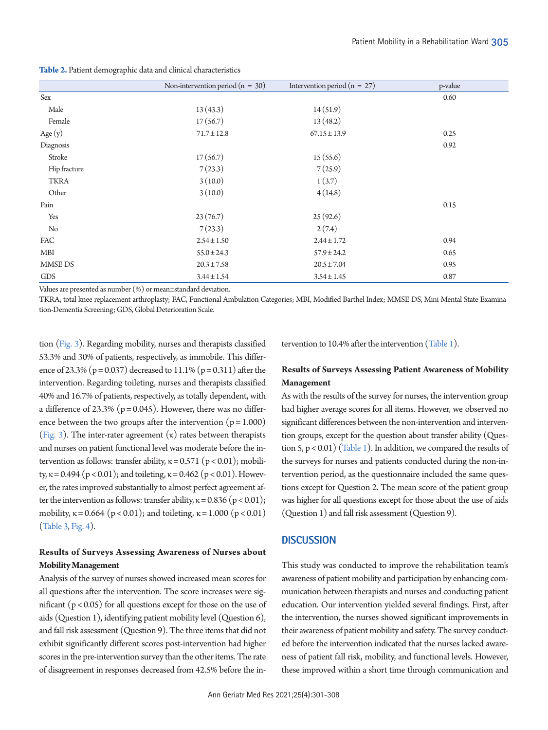<span id="page-4-0"></span>**Table 2.** Patient demographic data and clinical characteristics

|              | Non-intervention period ( $n = 30$ ) | Intervention period ( $n = 27$ ) | p-value |
|--------------|--------------------------------------|----------------------------------|---------|
| Sex          |                                      |                                  | 0.60    |
| Male         | 13(43.3)                             | 14(51.9)                         |         |
| Female       | 17(56.7)                             | 13(48.2)                         |         |
| Age $(y)$    | $71.7 \pm 12.8$                      | $67.15 \pm 13.9$                 | 0.25    |
| Diagnosis    |                                      |                                  | 0.92    |
| Stroke       | 17(56.7)                             | 15(55.6)                         |         |
| Hip fracture | 7(23.3)                              | 7(25.9)                          |         |
| <b>TKRA</b>  | 3(10.0)                              | 1(3.7)                           |         |
| Other        | 3(10.0)                              | 4(14.8)                          |         |
| Pain         |                                      |                                  | 0.15    |
| Yes          | 23(76.7)                             | 25(92.6)                         |         |
| No           | 7(23.3)                              | 2(7.4)                           |         |
| <b>FAC</b>   | $2.54 \pm 1.50$                      | $2.44 \pm 1.72$                  | 0.94    |
| MBI          | $55.0 \pm 24.3$                      | $57.9 \pm 24.2$                  | 0.65    |
| MMSE-DS      | $20.3 \pm 7.58$                      | $20.5 \pm 7.04$                  | 0.95    |
| GDS          | $3.44 \pm 1.54$                      | $3.54 \pm 1.45$                  | 0.87    |

Values are presented as number (%) or mean±standard deviation.

TKRA, total knee replacement arthroplasty; FAC, Functional Ambulation Categories; MBI, Modified Barthel Index; MMSE-DS, Mini-Mental State Examination-Dementia Screening; GDS, Global Deterioration Scale.

tion [\(Fig. 3\)](#page-5-0). Regarding mobility, nurses and therapists classified 53.3% and 30% of patients, respectively, as immobile. This difference of 23.3% ( $p = 0.037$ ) decreased to 11.1% ( $p = 0.311$ ) after the intervention. Regarding toileting, nurses and therapists classified 40% and 16.7% of patients, respectively, as totally dependent, with a difference of 23.3% ( $p = 0.045$ ). However, there was no difference between the two groups after the intervention  $(p = 1.000)$ [\(Fig. 3](#page-5-0)). The inter-rater agreement  $(\kappa)$  rates between therapists and nurses on patient functional level was moderate before the intervention as follows: transfer ability,  $\kappa = 0.571$  (p < 0.01); mobility, κ = 0.494 (p < 0.01); and toileting, κ = 0.462 (p < 0.01). However, the rates improved substantially to almost perfect agreement after the intervention as follows: transfer ability,  $\kappa = 0.836$  ( $p < 0.01$ ); mobility,  $\kappa = 0.664$  ( $p < 0.01$ ); and toileting,  $\kappa = 1.000$  ( $p < 0.01$ ) [\(Table 3,](#page-5-1) [Fig. 4\)](#page-5-2).

## **Results of Surveys Assessing Awareness of Nurses about Mobility Management**

Analysis of the survey of nurses showed increased mean scores for all questions after the intervention. The score increases were significant  $(p < 0.05)$  for all questions except for those on the use of aids (Question 1), identifying patient mobility level (Question 6), and fall risk assessment (Question 9). The three items that did not exhibit significantly different scores post-intervention had higher scores in the pre-intervention survey than the other items. The rate of disagreement in responses decreased from 42.5% before the intervention to 10.4% after the intervention [\(Table 1](#page-3-0)).

## **Results of Surveys Assessing Patient Awareness of Mobility Management**

As with the results of the survey for nurses, the intervention group had higher average scores for all items. However, we observed no significant differences between the non-intervention and intervention groups, except for the question about transfer ability (Question  $5$ ,  $p < 0.01$ ) [\(Table 1](#page-3-0)). In addition, we compared the results of the surveys for nurses and patients conducted during the non-intervention period, as the questionnaire included the same questions except for Question 2. The mean score of the patient group was higher for all questions except for those about the use of aids (Question 1) and fall risk assessment (Question 9).

#### **DISCUSSION**

This study was conducted to improve the rehabilitation team's awareness of patient mobility and participation by enhancing communication between therapists and nurses and conducting patient education. Our intervention yielded several findings. First, after the intervention, the nurses showed significant improvements in their awareness of patient mobility and safety. The survey conducted before the intervention indicated that the nurses lacked awareness of patient fall risk, mobility, and functional levels. However, these improved within a short time through communication and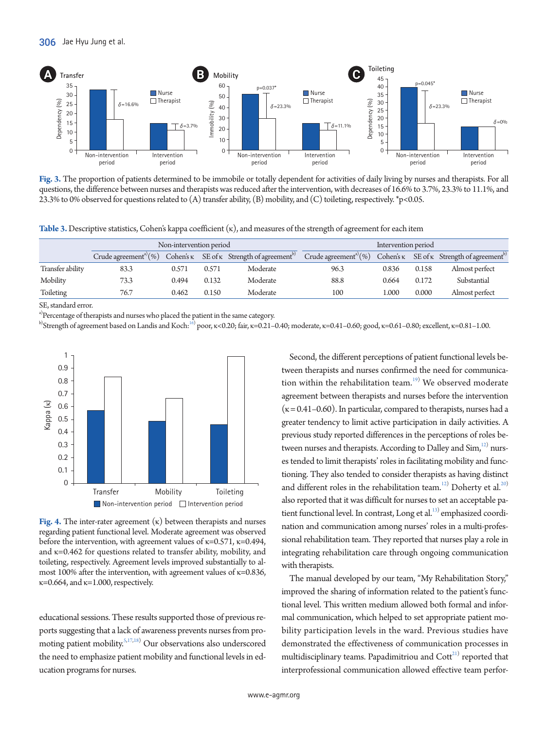<span id="page-5-0"></span>

**Fig. 3.** The proportion of patients determined to be immobile or totally dependent for activities of daily living by nurses and therapists. For all questions, the difference between nurses and therapists was reduced after the intervention, with decreases of 16.6% to 3.7%, 23.3% to 11.1%, and 23.3% to 0% observed for questions related to (A) transfer ability, (B) mobility, and (C) toileting, respectively. \*p<0.05.

<span id="page-5-1"></span>**Table 3.** Descriptive statistics, Cohen's kappa coefficient (κ), and measures of the strength of agreement for each item

|                  | Non-intervention period              |                  |       |                                                    | Intervention period                  |                  |       |                                                    |
|------------------|--------------------------------------|------------------|-------|----------------------------------------------------|--------------------------------------|------------------|-------|----------------------------------------------------|
|                  | Crude agreement <sup>a)</sup> $(\%)$ | Cohen's $\kappa$ |       | SE of $\kappa$ Strength of agreement <sup>b)</sup> | Crude agreement <sup>a)</sup> $(\%)$ | Cohen's $\kappa$ |       | SE of $\kappa$ Strength of agreement <sup>b)</sup> |
| Transfer ability | 83.3                                 | 0.571            | 0.571 | Moderate                                           | 96.3                                 | 0.836            | 0.158 | Almost perfect                                     |
| Mobility         | 73.3                                 | 0.494            | 0.132 | Moderate                                           | 88.8                                 | 0.664            | 0.172 | Substantial                                        |
| Toileting        | 76.7                                 | 0.462            | 0.150 | Moderate                                           | 100                                  | L.000            | 0.000 | Almost perfect                                     |

SE, standard error.

<sup>a)</sup>Percentage of therapists and nurses who placed the patient in the same category.

 $^{b)}$ Strength of agreement based on Landis and Koch: $^{16)}$  $^{16)}$  $^{16)}$  poor, κ<0.20; fair, κ=0.21–0.40; moderate, κ=0.41–0.60; good, κ=0.61–0.80; excellent, κ=0.81–1.00.

<span id="page-5-2"></span>

**Fig. 4.** The inter-rater agreement (κ) between therapists and nurses regarding patient functional level. Moderate agreement was observed before the intervention, with agreement values of  $\kappa$ =0.571,  $\kappa$ =0.494, and  $\kappa$ =0.462 for questions related to transfer ability, mobility, and toileting, respectively. Agreement levels improved substantially to almost 100% after the intervention, with agreement values of  $\kappa$ =0.836,  $\kappa$ =0.664, and  $\kappa$ =1.000, respectively.

educational sessions. These results supported those of previous reports suggesting that a lack of awareness prevents nurses from pro-moting patient mobility.<sup>5[,17](#page-7-7),18</sup>) Our observations also underscored the need to emphasize patient mobility and functional levels in education programs for nurses.

Second, the different perceptions of patient functional levels between therapists and nurses confirmed the need for communication within the rehabilitation team. $19)$  $19)$  We observed moderate agreement between therapists and nurses before the intervention  $(\kappa = 0.41 - 0.60)$ . In particular, compared to therapists, nurses had a greater tendency to limit active participation in daily activities. A previous study reported differences in the perceptions of roles between nurses and therapists. According to Dalley and  $Sim<sub>i</sub><sup>12</sup>$  nurses tended to limit therapists' roles in facilitating mobility and functioning. They also tended to consider therapists as having distinct and different roles in the rehabilitation team.<sup>12)</sup> Doherty et al.<sup>[20](#page-7-10))</sup> also reported that it was difficult for nurses to set an acceptable pa-tient functional level. In contrast, Long et al.<sup>[13](#page-7-11))</sup> emphasized coordination and communication among nurses' roles in a multi-professional rehabilitation team. They reported that nurses play a role in integrating rehabilitation care through ongoing communication with therapists.

The manual developed by our team, "My Rehabilitation Story," improved the sharing of information related to the patient's functional level. This written medium allowed both formal and informal communication, which helped to set appropriate patient mobility participation levels in the ward. Previous studies have demonstrated the effectiveness of communication processes in multidisciplinary teams. Papadimitriou and Cott<sup>[21](#page-7-12))</sup> reported that interprofessional communication allowed effective team perfor-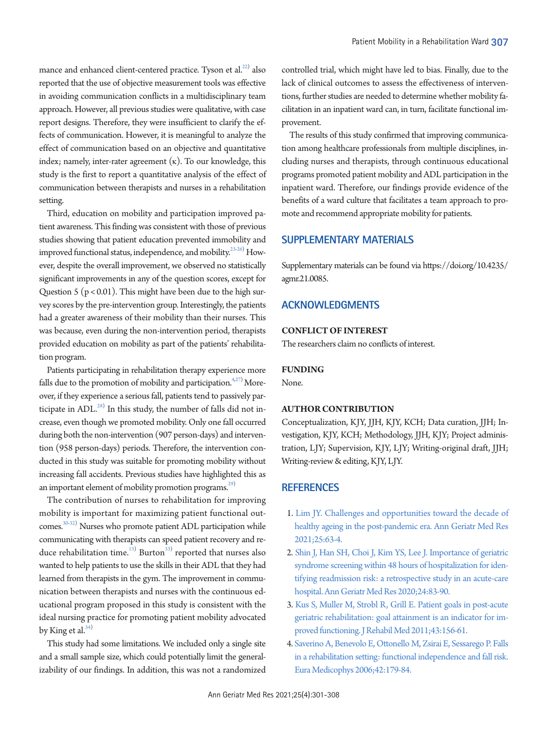mance and enhanced client-centered practice. Tyson et al.<sup>22)</sup> also reported that the use of objective measurement tools was effective in avoiding communication conflicts in a multidisciplinary team approach. However, all previous studies were qualitative, with case report designs. Therefore, they were insufficient to clarify the effects of communication. However, it is meaningful to analyze the effect of communication based on an objective and quantitative index; namely, inter-rater agreement  $(\kappa)$ . To our knowledge, this study is the first to report a quantitative analysis of the effect of communication between therapists and nurses in a rehabilitation setting.

Third, education on mobility and participation improved patient awareness. This finding was consistent with those of previous studies showing that patient education prevented immobility and improved functional status, independence, and mobility. $^{23\text{-}26)}$  However, despite the overall improvement, we observed no statistically significant improvements in any of the question scores, except for Question 5 ( $p < 0.01$ ). This might have been due to the high survey scores by the pre-intervention group. Interestingly, the patients had a greater awareness of their mobility than their nurses. This was because, even during the non-intervention period, therapists provided education on mobility as part of the patients' rehabilitation program.

Patients participating in rehabilitation therapy experience more falls due to the promotion of mobility and participation.<sup>4[,27\)](#page-7-16)</sup> Moreover, if they experience a serious fall, patients tend to passively participate in ADL. $^{28)}$  $^{28)}$  $^{28)}$  In this study, the number of falls did not increase, even though we promoted mobility. Only one fall occurred during both the non-intervention (907 person-days) and intervention (958 person-days) periods. Therefore, the intervention conducted in this study was suitable for promoting mobility without increasing fall accidents. Previous studies have highlighted this as an important element of mobility promotion programs.<sup>29)</sup>

The contribution of nurses to rehabilitation for improving mobility is important for maximizing patient functional out-comes.<sup>30[-32\)](#page-7-20)</sup> Nurses who promote patient ADL participation while communicating with therapists can speed patient recovery and reduce rehabilitation time. $^{13)}$  Burton $^{33)}$  $^{33)}$  $^{33)}$  reported that nurses also wanted to help patients to use the skills in their ADL that they had learned from therapists in the gym. The improvement in communication between therapists and nurses with the continuous educational program proposed in this study is consistent with the ideal nursing practice for promoting patient mobility advocated by King et al.<sup>[34](#page-7-22))</sup>

This study had some limitations. We included only a single site and a small sample size, which could potentially limit the generalizability of our findings. In addition, this was not a randomized

controlled trial, which might have led to bias. Finally, due to the lack of clinical outcomes to assess the effectiveness of interventions, further studies are needed to determine whether mobility facilitation in an inpatient ward can, in turn, facilitate functional improvement.

The results of this study confirmed that improving communication among healthcare professionals from multiple disciplines, including nurses and therapists, through continuous educational programs promoted patient mobility and ADL participation in the inpatient ward. Therefore, our findings provide evidence of the benefits of a ward culture that facilitates a team approach to promote and recommend appropriate mobility for patients.

### <span id="page-6-4"></span>**SUPPLEMENTARY MATERIALS**

Supplementary materials can be found via https://doi.org/10.4235/ agmr.21.0085.

## **ACKNOWLEDGMENTS**

#### **CONFLICT OF INTEREST**

The researchers claim no conflicts of interest.

#### **FUNDING**

None.

#### **AUTHOR CONTRIBUTION**

Conceptualization, KJY, JJH, KJY, KCH; Data curation, JJH; Investigation, KJY, KCH; Methodology, JJH, KJY; Project administration, LJY; Supervision, KJY, LJY; Writing-original draft, JJH; Writing-review & editing, KJY, LJY.

## <span id="page-6-3"></span>**REFERENCES**

- <span id="page-6-0"></span>1. Lim JY. Challenges and opportunities towa[rd the decade of](https://doi.org/10.4235/agmr.21.0064)  [healthy ageing in the post-pandemic era. Ann Geriatr Med Res](https://doi.org/10.4235/agmr.21.0064)  [2021;25:63-4.](https://doi.org/10.4235/agmr.21.0064)
- <span id="page-6-1"></span>2[. Shin J, Han SH, Choi J, Kim YS, Lee J. Importance of geriatric](https://doi.org/10.4235/agmr.20.0017)  [syndrome screening within 48 hours of hospitalization for iden](https://doi.org/10.4235/agmr.20.0017)[tifying readmission risk: a retrospective study in an acute-care](https://doi.org/10.4235/agmr.20.0017)  [hospital. Ann Geriatr Med Res 2020;24:83-90](https://doi.org/10.4235/agmr.20.0017).
- <span id="page-6-2"></span>3[. Kus S, Muller M, Strobl R, Grill E. Patient goals in post-acute](https://doi.org/10.2340/16501977-0636)  [geriatric rehabilitation: goal attainment is an indicator for im](https://doi.org/10.2340/16501977-0636)[proved functioning. J Rehabil Med 2011;43:156-61](https://doi.org/10.2340/16501977-0636).
- 4. [Saverino A, Benevolo E, Ottonello M, Zsirai E, Sessarego P. Falls](https://www.ncbi.nlm.nih.gov/pubmed/17039213)  [in a rehabilitation setting: functional independence and fall risk.](https://www.ncbi.nlm.nih.gov/pubmed/17039213)  [Eura Medicophys 2006;42:179-84.](https://www.ncbi.nlm.nih.gov/pubmed/17039213)